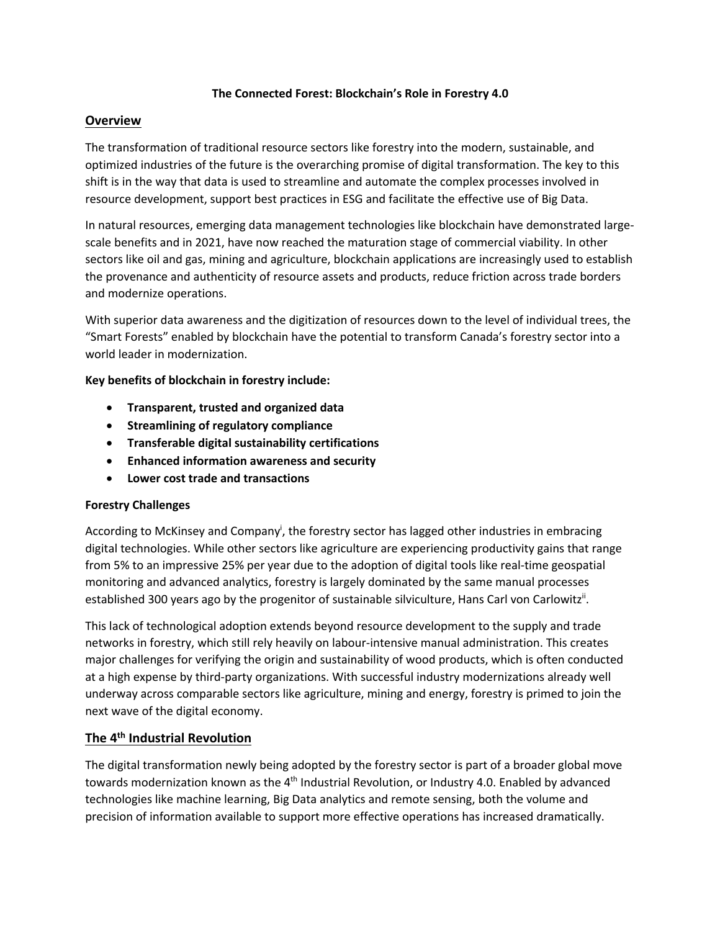#### **The Connected Forest: Blockchain's Role in Forestry 4.0**

# **Overview**

The transformation of traditional resource sectors like forestry into the modern, sustainable, and optimized industries of the future is the overarching promise of digital transformation. The key to this shift is in the way that data is used to streamline and automate the complex processes involved in resource development, support best practices in ESG and facilitate the effective use of Big Data.

In natural resources, emerging data management technologies like blockchain have demonstrated largescale benefits and in 2021, have now reached the maturation stage of commercial viability. In other sectors like oil and gas, mining and agriculture, blockchain applications are increasingly used to establish the provenance and authenticity of resource assets and products, reduce friction across trade borders and modernize operations.

With superior data awareness and the digitization of resources down to the level of individual trees, the "Smart Forests" enabled by blockchain have the potential to transform Canada's forestry sector into a world leader in modernization.

#### **Key benefits of blockchain in forestry include:**

- **Transparent, trusted and organized data**
- **Streamlining of regulatory compliance**
- **Transferable digital sustainability certifications**
- **Enhanced information awareness and security**
- **Lower cost trade and transactions**

#### **Forestry Challenges**

According to McKinsey and Company<sup>i</sup>, the forestry sector has lagged other industries in embracing digital technologies. While other sectors like agriculture are experiencing productivity gains that range from 5% to an impressive 25% per year due to the adoption of digital tools like real-time geospatial monitoring and advanced analytics, forestry is largely dominated by the same manual processes established 300 years ago by the progenitor of sustainable silviculture, Hans Carl von Carlowitz<sup>ii</sup>.

This lack of technological adoption extends beyond resource development to the supply and trade networks in forestry, which still rely heavily on labour-intensive manual administration. This creates major challenges for verifying the origin and sustainability of wood products, which is often conducted at a high expense by third-party organizations. With successful industry modernizations already well underway across comparable sectors like agriculture, mining and energy, forestry is primed to join the next wave of the digital economy.

#### **The 4th Industrial Revolution**

The digital transformation newly being adopted by the forestry sector is part of a broader global move towards modernization known as the 4<sup>th</sup> Industrial Revolution, or Industry 4.0. Enabled by advanced technologies like machine learning, Big Data analytics and remote sensing, both the volume and precision of information available to support more effective operations has increased dramatically.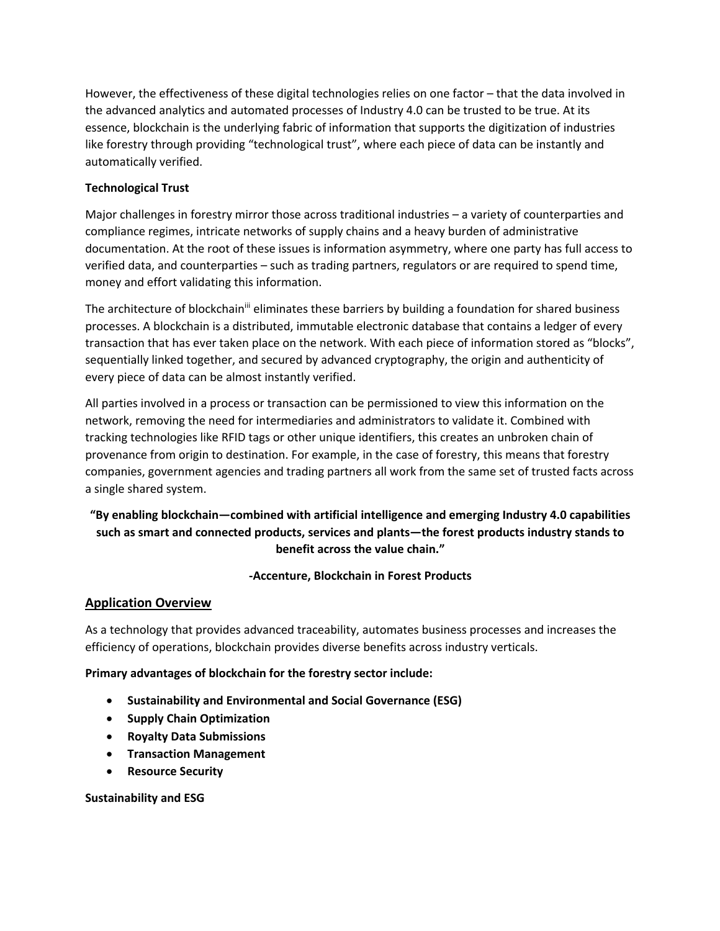However, the effectiveness of these digital technologies relies on one factor – that the data involved in the advanced analytics and automated processes of Industry 4.0 can be trusted to be true. At its essence, blockchain is the underlying fabric of information that supports the digitization of industries like forestry through providing "technological trust", where each piece of data can be instantly and automatically verified.

# **Technological Trust**

Major challenges in forestry mirror those across traditional industries – a variety of counterparties and compliance regimes, intricate networks of supply chains and a heavy burden of administrative documentation. At the root of these issues is information asymmetry, where one party has full access to verified data, and counterparties – such as trading partners, regulators or are required to spend time, money and effort validating this information.

The architecture of blockchain<sup>iii</sup> eliminates these barriers by building a foundation for shared business processes. A blockchain is a distributed, immutable electronic database that contains a ledger of every transaction that has ever taken place on the network. With each piece of information stored as "blocks", sequentially linked together, and secured by advanced cryptography, the origin and authenticity of every piece of data can be almost instantly verified.

All parties involved in a process or transaction can be permissioned to view this information on the network, removing the need for intermediaries and administrators to validate it. Combined with tracking technologies like RFID tags or other unique identifiers, this creates an unbroken chain of provenance from origin to destination. For example, in the case of forestry, this means that forestry companies, government agencies and trading partners all work from the same set of trusted facts across a single shared system.

# **"By enabling blockchain—combined with artificial intelligence and emerging Industry 4.0 capabilities such as smart and connected products, services and plants—the forest products industry stands to benefit across the value chain."**

# **-Accenture, Blockchain in Forest Products**

#### **Application Overview**

As a technology that provides advanced traceability, automates business processes and increases the efficiency of operations, blockchain provides diverse benefits across industry verticals.

#### **Primary advantages of blockchain for the forestry sector include:**

- **Sustainability and Environmental and Social Governance (ESG)**
- **Supply Chain Optimization**
- **Royalty Data Submissions**
- **Transaction Management**
- **Resource Security**

#### **Sustainability and ESG**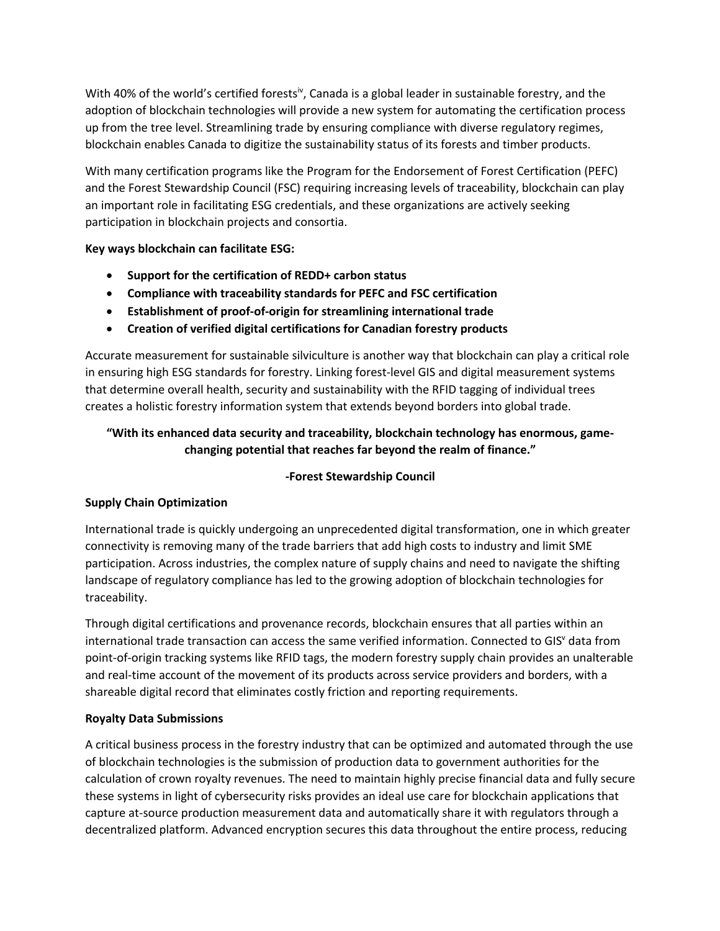With 40% of the world's certified forests<sup>iv</sup>, Canada is a global leader in sustainable forestry, and the adoption of blockchain technologies will provide a new system for automating the certification process up from the tree level. Streamlining trade by ensuring compliance with diverse regulatory regimes, blockchain enables Canada to digitize the sustainability status of its forests and timber products.

With many certification programs like the Program for the Endorsement of Forest Certification (PEFC) and the Forest Stewardship Council (FSC) requiring increasing levels of traceability, blockchain can play an important role in facilitating ESG credentials, and these organizations are actively seeking participation in blockchain projects and consortia.

**Key ways blockchain can facilitate ESG:**

- **Support for the certification of REDD+ carbon status**
- **Compliance with traceability standards for PEFC and FSC certification**
- **Establishment of proof-of-origin for streamlining international trade**
- **Creation of verified digital certifications for Canadian forestry products**

Accurate measurement for sustainable silviculture is another way that blockchain can play a critical role in ensuring high ESG standards for forestry. Linking forest-level GIS and digital measurement systems that determine overall health, security and sustainability with the RFID tagging of individual trees creates a holistic forestry information system that extends beyond borders into global trade.

# **"With its enhanced data security and traceability, blockchain technology has enormous, gamechanging potential that reaches far beyond the realm of finance."**

# **-Forest Stewardship Council**

# **Supply Chain Optimization**

International trade is quickly undergoing an unprecedented digital transformation, one in which greater connectivity is removing many of the trade barriers that add high costs to industry and limit SME participation. Across industries, the complex nature of supply chains and need to navigate the shifting landscape of regulatory compliance has led to the growing adoption of blockchain technologies for traceability.

Through digital certifications and provenance records, blockchain ensures that all parties within an international trade transaction can access the same verified information. Connected to GIS<sup>V</sup> data from point-of-origin tracking systems like RFID tags, the modern forestry supply chain provides an unalterable and real-time account of the movement of its products across service providers and borders, with a shareable digital record that eliminates costly friction and reporting requirements.

# **Royalty Data Submissions**

A critical business process in the forestry industry that can be optimized and automated through the use of blockchain technologies is the submission of production data to government authorities for the calculation of crown royalty revenues. The need to maintain highly precise financial data and fully secure these systems in light of cybersecurity risks provides an ideal use care for blockchain applications that capture at-source production measurement data and automatically share it with regulators through a decentralized platform. Advanced encryption secures this data throughout the entire process, reducing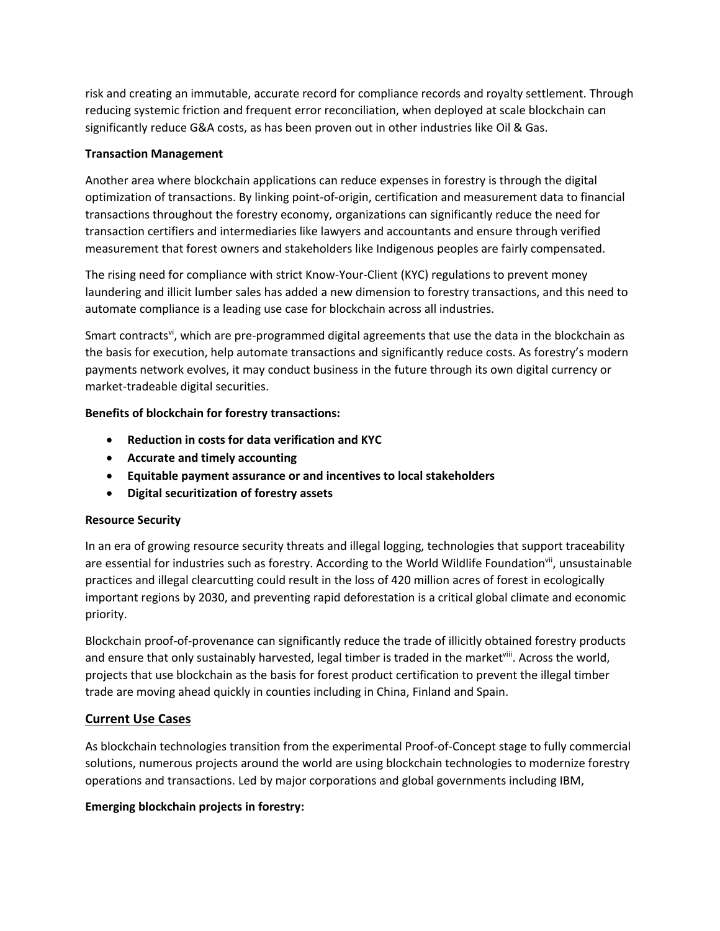risk and creating an immutable, accurate record for compliance records and royalty settlement. Through reducing systemic friction and frequent error reconciliation, when deployed at scale blockchain can significantly reduce G&A costs, as has been proven out in other industries like Oil & Gas.

#### **Transaction Management**

Another area where blockchain applications can reduce expenses in forestry is through the digital optimization of transactions. By linking point-of-origin, certification and measurement data to financial transactions throughout the forestry economy, organizations can significantly reduce the need for transaction certifiers and intermediaries like lawyers and accountants and ensure through verified measurement that forest owners and stakeholders like Indigenous peoples are fairly compensated.

The rising need for compliance with strict Know-Your-Client (KYC) regulations to prevent money laundering and illicit lumber sales has added a new dimension to forestry transactions, and this need to automate compliance is a leading use case for blockchain across all industries.

Smart contracts<sup>vi</sup>, which are pre-programmed digital agreements that use the data in the blockchain as the basis for execution, help automate transactions and significantly reduce costs. As forestry's modern payments network evolves, it may conduct business in the future through its own digital currency or market-tradeable digital securities.

# **Benefits of blockchain for forestry transactions:**

- **Reduction in costs for data verification and KYC**
- **Accurate and timely accounting**
- **Equitable payment assurance or and incentives to local stakeholders**
- **Digital securitization of forestry assets**

# **Resource Security**

In an era of growing resource security threats and illegal logging, technologies that support traceability are essential for industries such as forestry. According to the World Wildlife Foundation<sup>vii</sup>, unsustainable practices and illegal clearcutting could result in the loss of 420 million acres of forest in ecologically important regions by 2030, and preventing rapid deforestation is a critical global climate and economic priority.

Blockchain proof-of-provenance can significantly reduce the trade of illicitly obtained forestry products and ensure that only sustainably harvested, legal timber is traded in the marketviii. Across the world, projects that use blockchain as the basis for forest product certification to prevent the illegal timber trade are moving ahead quickly in counties including in China, Finland and Spain.

# **Current Use Cases**

As blockchain technologies transition from the experimental Proof-of-Concept stage to fully commercial solutions, numerous projects around the world are using blockchain technologies to modernize forestry operations and transactions. Led by major corporations and global governments including IBM,

# **Emerging blockchain projects in forestry:**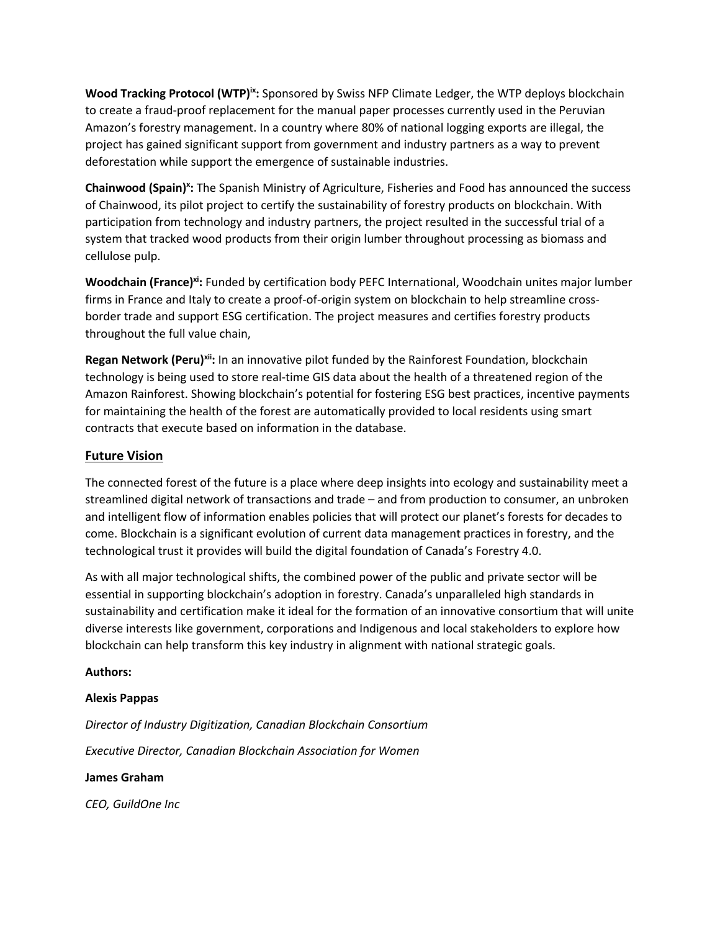**Wood Tracking Protocol (WTP)ix:** Sponsored by Swiss NFP Climate Ledger, the WTP deploys blockchain to create a fraud-proof replacement for the manual paper processes currently used in the Peruvian Amazon's forestry management. In a country where 80% of national logging exports are illegal, the project has gained significant support from government and industry partners as a way to prevent deforestation while support the emergence of sustainable industries.

Chainwood (Spain)<sup>x</sup>: The Spanish Ministry of Agriculture, Fisheries and Food has announced the success of Chainwood, its pilot project to certify the sustainability of forestry products on blockchain. With participation from technology and industry partners, the project resulted in the successful trial of a system that tracked wood products from their origin lumber throughout processing as biomass and cellulose pulp.

**Woodchain (France)<sup>xi</sup>:** Funded by certification body PEFC International, Woodchain unites major lumber firms in France and Italy to create a proof-of-origin system on blockchain to help streamline crossborder trade and support ESG certification. The project measures and certifies forestry products throughout the full value chain,

**Regan Network (Peru)<sup>xii</sup>:** In an innovative pilot funded by the Rainforest Foundation, blockchain technology is being used to store real-time GIS data about the health of a threatened region of the Amazon Rainforest. Showing blockchain's potential for fostering ESG best practices, incentive payments for maintaining the health of the forest are automatically provided to local residents using smart contracts that execute based on information in the database.

# **Future Vision**

The connected forest of the future is a place where deep insights into ecology and sustainability meet a streamlined digital network of transactions and trade – and from production to consumer, an unbroken and intelligent flow of information enables policies that will protect our planet's forests for decades to come. Blockchain is a significant evolution of current data management practices in forestry, and the technological trust it provides will build the digital foundation of Canada's Forestry 4.0.

As with all major technological shifts, the combined power of the public and private sector will be essential in supporting blockchain's adoption in forestry. Canada's unparalleled high standards in sustainability and certification make it ideal for the formation of an innovative consortium that will unite diverse interests like government, corporations and Indigenous and local stakeholders to explore how blockchain can help transform this key industry in alignment with national strategic goals.

#### **Authors:**

#### **Alexis Pappas**

*Director of Industry Digitization, Canadian Blockchain Consortium Executive Director, Canadian Blockchain Association for Women*

#### **James Graham**

*CEO, GuildOne Inc*